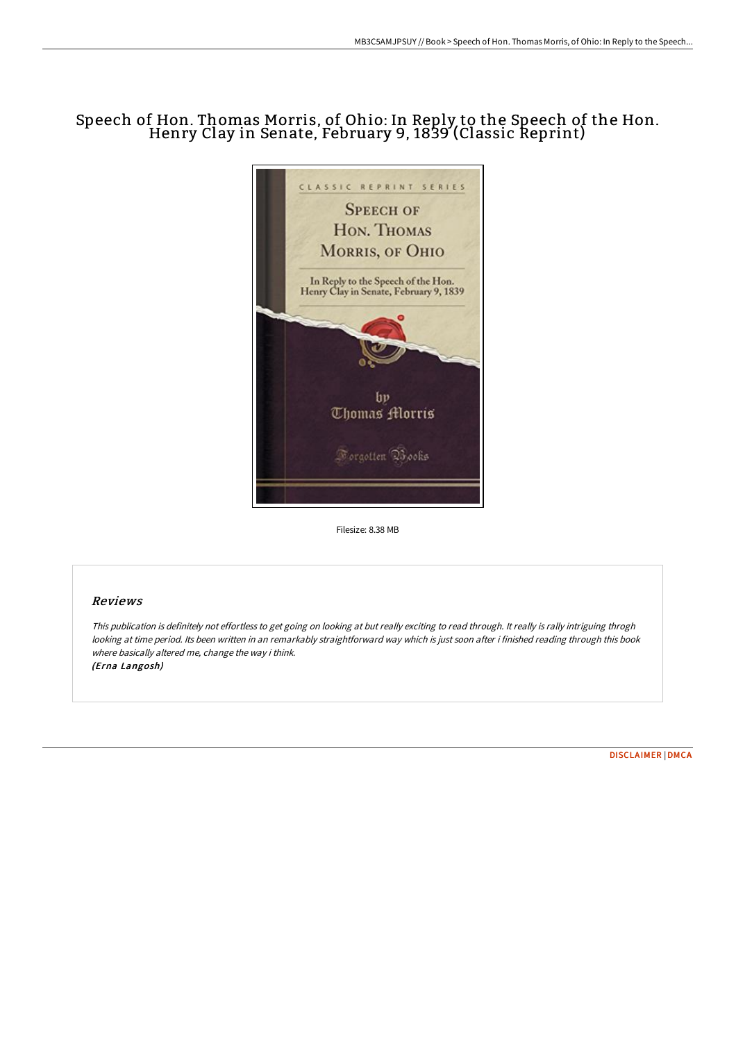# Speech of Hon. Thomas Morris, of Ohio: In Reply to the Speech of the Hon. Henry Clay in Senate, February 9, <sup>1839</sup> (Classic Reprint)



Filesize: 8.38 MB

# Reviews

This publication is definitely not effortless to get going on looking at but really exciting to read through. It really is rally intriguing throgh looking at time period. Its been written in an remarkably straightforward way which is just soon after i finished reading through this book where basically altered me, change the way i think. (Erna Langosh)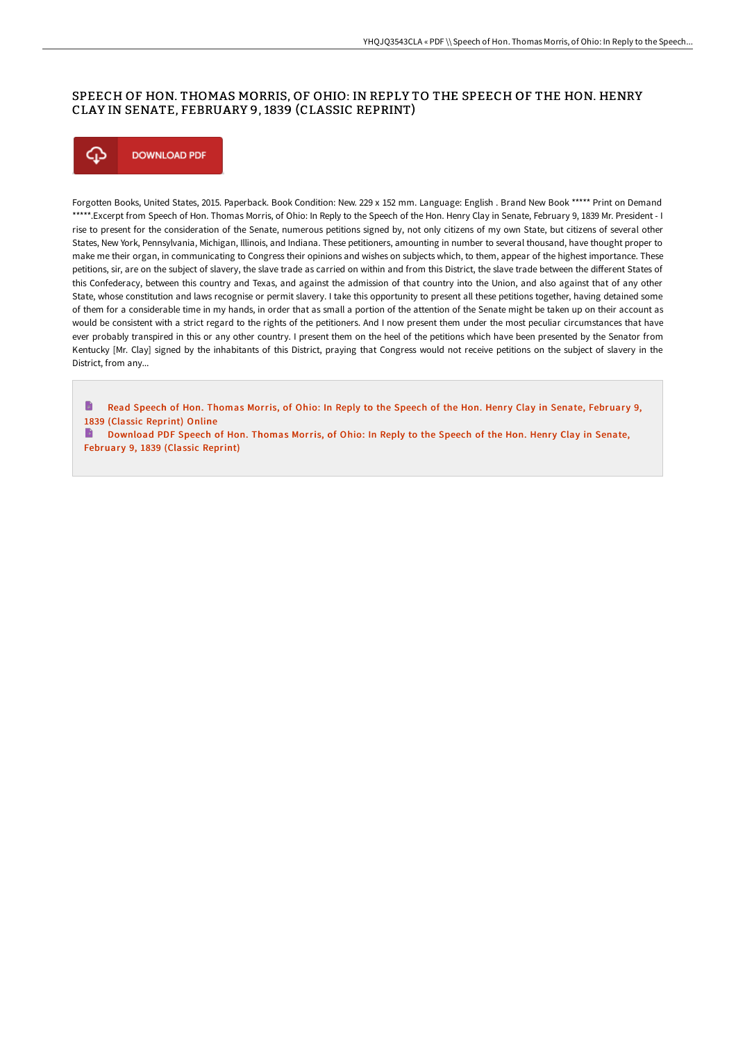# SPEECH OF HON. THOMAS MORRIS, OF OHIO: IN REPLY TO THE SPEECH OF THE HON. HENRY CLAY IN SENATE, FEBRUARY 9, 1839 (CLASSIC REPRINT)



Forgotten Books, United States, 2015. Paperback. Book Condition: New. 229 x 152 mm. Language: English . Brand New Book \*\*\*\*\* Print on Demand \*\*\*\*\*.Excerpt from Speech of Hon. Thomas Morris, of Ohio: In Reply to the Speech of the Hon. Henry Clay in Senate, February 9, 1839 Mr. President - I rise to present for the consideration of the Senate, numerous petitions signed by, not only citizens of my own State, but citizens of several other States, New York, Pennsylvania, Michigan, Illinois, and Indiana. These petitioners, amounting in number to several thousand, have thought proper to make me their organ, in communicating to Congress their opinions and wishes on subjects which, to them, appear of the highest importance. These petitions, sir, are on the subject of slavery, the slave trade as carried on within and from this District, the slave trade between the different States of this Confederacy, between this country and Texas, and against the admission of that country into the Union, and also against that of any other State, whose constitution and laws recognise or permit slavery. I take this opportunity to present all these petitions together, having detained some of them for a considerable time in my hands, in order that as small a portion of the attention of the Senate might be taken up on their account as would be consistent with a strict regard to the rights of the petitioners. And I now present them under the most peculiar circumstances that have ever probably transpired in this or any other country. I present them on the heel of the petitions which have been presented by the Senator from Kentucky [Mr. Clay] signed by the inhabitants of this District, praying that Congress would not receive petitions on the subject of slavery in the District, from any...

h Read Speech of Hon. Thomas Morris, of Ohio: In Reply to the Speech of the Hon. Henry Clay in Senate, February 9, 1839 (Classic [Reprint\)](http://techno-pub.tech/speech-of-hon-thomas-morris-of-ohio-in-reply-to-.html) Online

 $\rightarrow$ [Download](http://techno-pub.tech/speech-of-hon-thomas-morris-of-ohio-in-reply-to-.html) PDF Speech of Hon. Thomas Morris, of Ohio: In Reply to the Speech of the Hon. Henry Clay in Senate, February 9, 1839 (Classic Reprint)